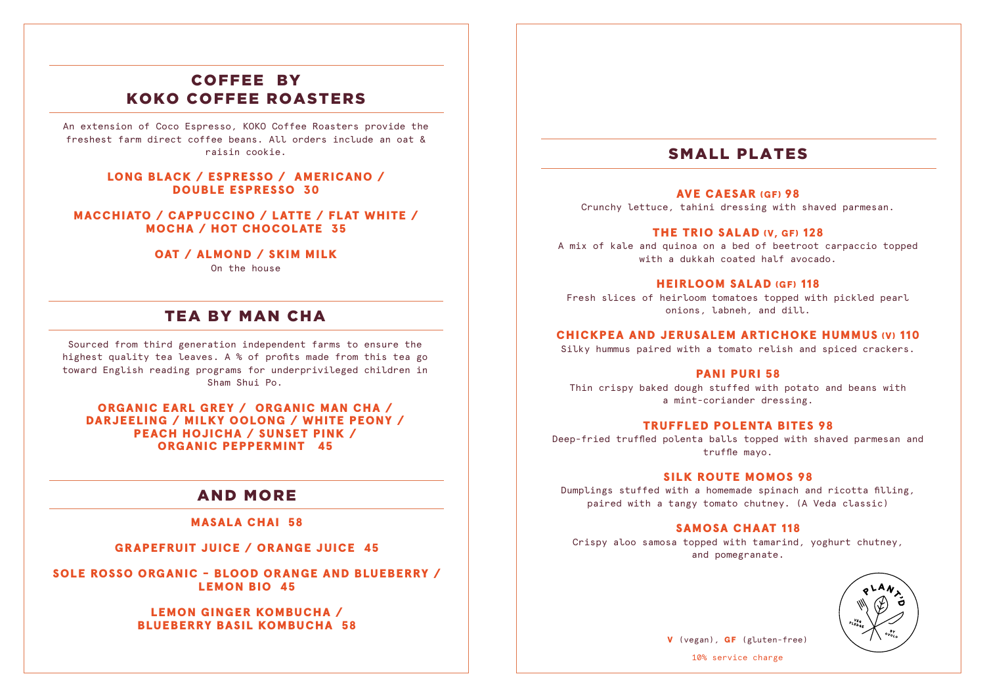# COFFEE BY KOKO COFFEE ROASTERS

An extension of Coco Espresso, KOKO Coffee Roasters provide the freshest farm direct coffee beans. All orders include an oat & raisin cookie.

#### LONG BLACK / ESPRESSO / AMERICANO / DOUBLE ESPRESSO 30

#### MACCHIATO / CAPPUCCINO / LATTE / FLAT WHITE / MOCHA / HOT CHOCOLATE 35

#### OAT / ALMOND / SKIM MILK

On the house

# TEA BY MAN CHA

Sourced from third generation independent farms to ensure the highest quality tea leaves. A % of profits made from this tea go toward English reading programs for underprivileged children in Sham Shui Po.

ORGANIC EARL GREY / ORGANIC MAN CHA / DARJEELING / MILKY OOLONG / WHITE PEONY / PEACH HOJICHA / SUNSET PINK / ORGANIC PEPPERMINT 45

# AND MORE

MASALA CHAI 58

### GRAPEFRUIT JUICE / ORANGE JUICE 45

SOLE ROSSO ORGANIC - BLOOD ORANGE AND BLUEBERRY / LEMON BIO 45

### LEMON GINGER KOMBUCHA / BLUEBERRY BASIL KOMBUCHA 58

# SMALL PLATES

# AVE CAESAR (GF) 98

Crunchy lettuce, tahini dressing with shaved parmesan.

#### THE TRIO SALAD (V, GF) 128

A mix of kale and quinoa on a bed of beetroot carpaccio topped with a dukkah coated half avocado.

## HEIRLOOM SALAD (GF) 118

Fresh slices of heirloom tomatoes topped with pickled pearl onions, labneh, and dill.

#### CHICKPEA AND JERUSALEM ARTICHOKE HUMMUS (V) 110

Silky hummus paired with a tomato relish and spiced crackers.

# PANI PURI 58

Thin crispy baked dough stuffed with potato and beans with a mint-coriander dressing.

#### TRUFFLED POLENTA BITES 98

Deep-fried truffled polenta balls topped with shaved parmesan and truffle mayo.

## SILK ROUTE MOMOS 98

Dumplings stuffed with a homemade spinach and ricotta filling, paired with a tangy tomato chutney. (A Veda classic)

## SAMOSA CHAAT 118

Crispy aloo samosa topped with tamarind, yoghurt chutney, and pomegranate.



V (vegan), GF (gluten-free)

10% service charge